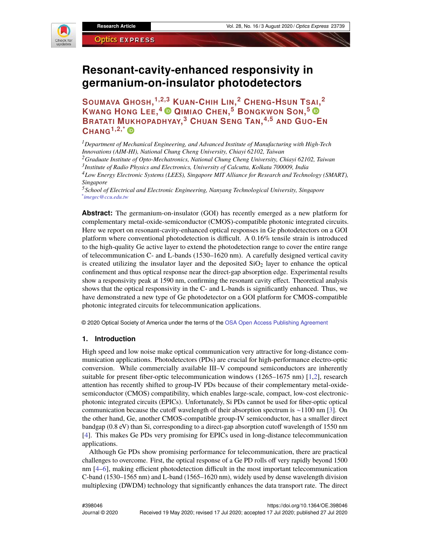

# **Resonant-cavity-enhanced responsivity in germanium-on-insulator photodetectors**

**SOUMAVA GHOSH, 1,2,3 KUAN-CHIH LIN, <sup>2</sup> CHENG-HSUN TSAI, 2 KWANG HONG LEE, <sup>4</sup> QIMIAO CHEN, <sup>5</sup> BONGKWON SON, 5 BRATATI MUKHOPADHYAY, <sup>3</sup> CHUAN SENG TAN, 4,5 AND GUO-E<sup>N</sup> CHANG1,2,\***

*<sup>1</sup>Department of Mechanical Engineering, and Advanced Institute of Manufacturing with High-Tech Innovations (AIM-HI), National Chung Cheng University, Chiayi 62102, Taiwan <sup>2</sup>Graduate Institute of Opto-Mechatronics, National Chung Cheng University, Chiayi 62102, Taiwan*

*3 Institute of Radio Physics and Electronics, University of Calcutta, Kolkata 700009, India*

*<sup>4</sup>Low Energy Electronic Systems (LEES), Singapore MIT Alliance for Research and Technology (SMART), Singapore*

*<sup>5</sup>School of Electrical and Electronic Engineering, Nanyang Technological University, Singapore \* imegec@ccu.edu.tw*

**Abstract:** The germanium-on-insulator (GOI) has recently emerged as a new platform for complementary metal-oxide-semiconductor (CMOS)-compatible photonic integrated circuits. Here we report on resonant-cavity-enhanced optical responses in Ge photodetectors on a GOI platform where conventional photodetection is difficult. A 0.16% tensile strain is introduced to the high-quality Ge active layer to extend the photodetection range to cover the entire range of telecommunication C- and L-bands (1530–1620 nm). A carefully designed vertical cavity is created utilizing the insulator layer and the deposited  $SiO<sub>2</sub>$  layer to enhance the optical confinement and thus optical response near the direct-gap absorption edge. Experimental results show a responsivity peak at 1590 nm, confirming the resonant cavity effect. Theoretical analysis shows that the optical responsivity in the C- and L-bands is significantly enhanced. Thus, we have demonstrated a new type of Ge photodetector on a GOI platform for CMOS-compatible photonic integrated circuits for telecommunication applications.

© 2020 Optical Society of America under the terms of the OSA Open Access Publishing Agreement

## **1. Introduction**

High speed and low noise make optical communication very attractive for long-distance communication applications. Photodetectors (PDs) are crucial for high-performance electro-optic conversion. While commercially available III–V compound semiconductors are inherently suitable for present fiber-optic telecommunication windows (1265–1675 nm) [1,2], research attention has recently shifted to group-IV PDs because of their complementary metal-oxidesemiconductor (CMOS) compatibility, which enables large-scale, compact, low-cost electronicphotonic integrated circuits (EPICs). Unfortunately, Si PDs cannot be used for fiber-optic optical communication because the cutoff wavelength of their absorption spectrum is ∼1100 nm [3]. On the other hand, Ge, another CMOS-compatible group-IV semiconductor, has a smaller direct bandgap (0.8 eV) than Si, corresponding to a direct-gap absorption cutoff wavelength of 1550 nm [4]. This makes Ge PDs very promising for EPICs used in long-distance telecommunication applications.

Although Ge PDs show promising performance for telecommunication, there are practical challenges to overcome. First, the optical response of a Ge PD rolls off very rapidly beyond 1500 nm [4–6], making efficient photodetection difficult in the most important telecommunication C-band (1530–1565 nm) and L-band (1565–1620 nm), widely used by dense wavelength division multiplexing (DWDM) technology that significantly enhances the data transport rate. The direct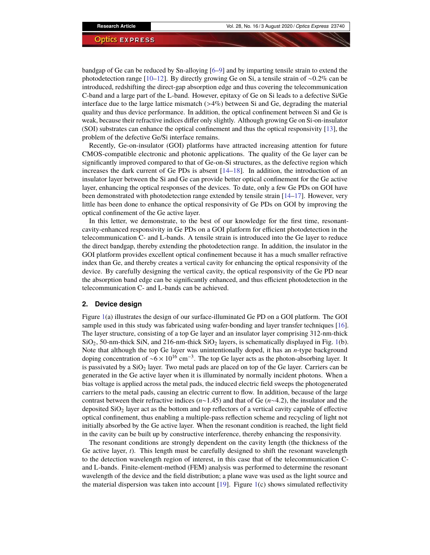bandgap of Ge can be reduced by Sn-alloying [6–9] and by imparting tensile strain to extend the photodetection range [10–12]. By directly growing Ge on Si, a tensile strain of ∼0.2% can be introduced, redshifting the direct-gap absorption edge and thus covering the telecommunication C-band and a large part of the L-band. However, epitaxy of Ge on Si leads to a defective Si/Ge interface due to the large lattice mismatch  $(>4\%)$  between Si and Ge, degrading the material quality and thus device performance. In addition, the optical confinement between Si and Ge is weak, because their refractive indices differ only slightly. Although growing Ge on Si-on-insulator (SOI) substrates can enhance the optical confinement and thus the optical responsivity [13], the problem of the defective Ge/Si interface remains.

Recently, Ge-on-insulator (GOI) platforms have attracted increasing attention for future CMOS-compatible electronic and photonic applications. The quality of the Ge layer can be significantly improved compared to that of Ge-on-Si structures, as the defective region which increases the dark current of Ge PDs is absent [14–18]. In addition, the introduction of an insulator layer between the Si and Ge can provide better optical confinement for the Ge active layer, enhancing the optical responses of the devices. To date, only a few Ge PDs on GOI have been demonstrated with photodetection range extended by tensile strain [14–17]. However, very little has been done to enhance the optical responsivity of Ge PDs on GOI by improving the optical confinement of the Ge active layer.

In this letter, we demonstrate, to the best of our knowledge for the first time, resonantcavity-enhanced responsivity in Ge PDs on a GOI platform for efficient photodetection in the telecommunication C- and L-bands. A tensile strain is introduced into the Ge layer to reduce the direct bandgap, thereby extending the photodetection range. In addition, the insulator in the GOI platform provides excellent optical confinement because it has a much smaller refractive index than Ge, and thereby creates a vertical cavity for enhancing the optical responsivity of the device. By carefully designing the vertical cavity, the optical responsivity of the Ge PD near the absorption band edge can be significantly enhanced, and thus efficient photodetection in the telecommunication C- and L-bands can be achieved.

# **2. Device design**

Figure 1(a) illustrates the design of our surface-illuminated Ge PD on a GOI platform. The GOI sample used in this study was fabricated using wafer-bonding and layer transfer techniques [16]. The layer structure, consisting of a top Ge layer and an insulator layer comprising 312-nm-thick  $SiO<sub>2</sub>$ , 50-nm-thick SiN, and 216-nm-thick  $SiO<sub>2</sub>$  layers, is schematically displayed in Fig. 1(b). Note that although the top Ge layer was unintentionally doped, it has an *n*-type background doping concentration of ~6 × 10<sup>16</sup> cm<sup>−3</sup>. The top Ge layer acts as the photon-absorbing layer. It is passivated by a  $SiO<sub>2</sub>$  layer. Two metal pads are placed on top of the Ge layer. Carriers can be generated in the Ge active layer when it is illuminated by normally incident photons. When a bias voltage is applied across the metal pads, the induced electric field sweeps the photogenerated carriers to the metal pads, causing an electric current to flow. In addition, because of the large contrast between their refractive indices (*n*∼1.45) and that of Ge (*n*∼4.2), the insulator and the deposited  $SiO<sub>2</sub>$  layer act as the bottom and top reflectors of a vertical cavity capable of effective optical confinement, thus enabling a multiple-pass reflection scheme and recycling of light not initially absorbed by the Ge active layer. When the resonant condition is reached, the light field in the cavity can be built up by constructive interference, thereby enhancing the responsivity.

The resonant conditions are strongly dependent on the cavity length (the thickness of the Ge active layer, *t*). This length must be carefully designed to shift the resonant wavelength to the detection wavelength region of interest, in this case that of the telecommunication Cand L-bands. Finite-element-method (FEM) analysis was performed to determine the resonant wavelength of the device and the field distribution; a plane wave was used as the light source and the material dispersion was taken into account  $[19]$ . Figure 1(c) shows simulated reflectivity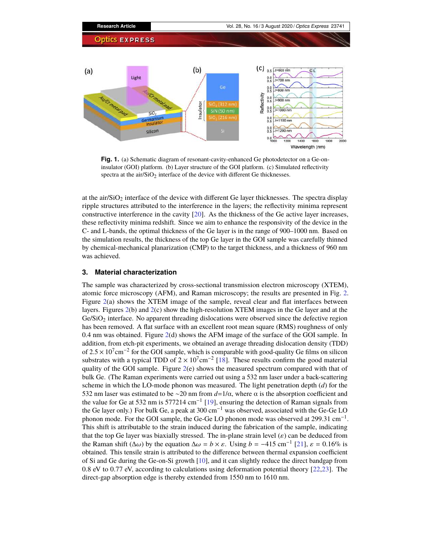

**Fig. 1.** (a) Schematic diagram of resonant-cavity-enhanced Ge photodetector on a Ge-oninsulator (GOI) platform. (b) Layer structure of the GOI platform. (c) Simulated reflectivity spectra at the  $air/SiO<sub>2</sub>$  interface of the device with different Ge thicknesses.

at the air/ $SiO<sub>2</sub>$  interface of the device with different Ge layer thicknesses. The spectra display ripple structures attributed to the interference in the layers; the reflectivity minima represent constructive interference in the cavity [20]. As the thickness of the Ge active layer increases, these reflectivity minima redshift. Since we aim to enhance the responsivity of the device in the C- and L-bands, the optimal thickness of the Ge layer is in the range of 900–1000 nm. Based on the simulation results, the thickness of the top Ge layer in the GOI sample was carefully thinned by chemical-mechanical planarization (CMP) to the target thickness, and a thickness of 960 nm was achieved.

# **3. Material characterization**

The sample was characterized by cross-sectional transmission electron microscopy (XTEM), atomic force microscopy (AFM), and Raman microscopy; the results are presented in Fig. 2. Figure 2(a) shows the XTEM image of the sample, reveal clear and flat interfaces between layers. Figures 2(b) and 2(c) show the high-resolution XTEM images in the Ge layer and at the  $Ge/SiO<sub>2</sub>$  interface. No apparent threading dislocations were observed since the defective region has been removed. A flat surface with an excellent root mean square (RMS) roughness of only 0.4 nm was obtained. Figure 2(d) shows the AFM image of the surface of the GOI sample. In addition, from etch-pit experiments, we obtained an average threading dislocation density (TDD) of  $2.5 \times 10^7$  cm<sup>-2</sup> for the GOI sample, which is comparable with good-quality Ge films on silicon substrates with a typical TDD of  $2 \times 10^{7}$ cm<sup>-2</sup> [18]. These results confirm the good material quality of the GOI sample. Figure 2(e) shows the measured spectrum compared with that of bulk Ge. (The Raman experiments were carried out using a 532 nm laser under a back-scattering scheme in which the LO-mode phonon was measured. The light penetration depth (*d*) for the 532 nm laser was estimated to be ∼20 nm from *d*=1/α, where α is the absorption coefficient and the value for Ge at 532 nm is 577214 cm<sup>-1</sup> [19], ensuring the detection of Raman signals from the Ge layer only.) For bulk Ge, a peak at 300 cm<sup>-1</sup> was observed, associated with the Ge-Ge LO phonon mode. For the GOI sample, the Ge-Ge LO phonon mode was observed at 299.31  $cm^{-1}$ . This shift is attributable to the strain induced during the fabrication of the sample, indicating that the top Ge layer was biaxially stressed. The in-plane strain level  $(\varepsilon)$  can be deduced from the Raman shift ( $\Delta\omega$ ) by the equation  $\Delta\omega = b \times \varepsilon$ . Using  $b = -415$  cm<sup>-1</sup> [21],  $\varepsilon = 0.16\%$  is obtained. This tensile strain is attributed to the difference between thermal expansion coefficient of Si and Ge during the Ge-on-Si growth [10], and it can slightly reduce the direct bandgap from 0.8 eV to 0.77 eV, according to calculations using deformation potential theory [22,23]. The direct-gap absorption edge is thereby extended from 1550 nm to 1610 nm.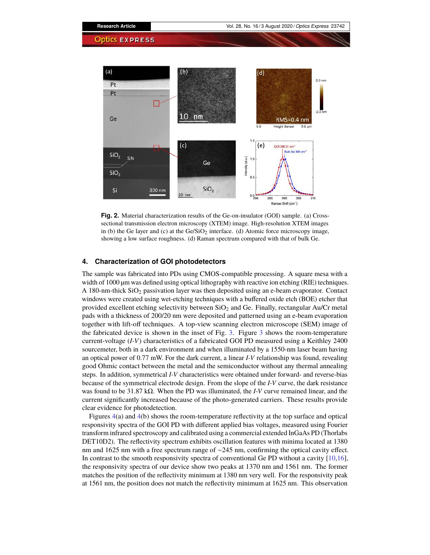

**Fig. 2.** Material characterization results of the Ge-on-insulator (GOI) sample. (a) Crosssectional transmission electron microscopy (XTEM) image. High-resolution XTEM images in (b) the Ge layer and (c) at the  $Ge/SiO<sub>2</sub>$  interface. (d) Atomic force microscopy image, showing a low surface roughness. (d) Raman spectrum compared with that of bulk Ge.

# **4. Characterization of GOI photodetectors**

The sample was fabricated into PDs using CMOS-compatible processing. A square mesa with a width of 1000  $\mu$ m was defined using optical lithography with reactive ion etching (RIE) techniques. A 180-nm-thick SiO<sub>2</sub> passivation layer was then deposited using an e-beam evaporator. Contact windows were created using wet-etching techniques with a buffered oxide etch (BOE) etcher that provided excellent etching selectivity between SiO<sub>2</sub> and Ge. Finally, rectangular Au/Cr metal pads with a thickness of 200/20 nm were deposited and patterned using an e-beam evaporation together with lift-off techniques. A top-view scanning electron microscope (SEM) image of the fabricated device is shown in the inset of Fig. 3. Figure 3 shows the room-temperature current-voltage (*I-V*) characteristics of a fabricated GOI PD measured using a Keithley 2400 sourcemeter, both in a dark environment and when illuminated by a 1550-nm laser beam having an optical power of 0.77 mW. For the dark current, a linear *I-V* relationship was found, revealing good Ohmic contact between the metal and the semiconductor without any thermal annealing steps. In addition, symmetrical *I-V* characteristics were obtained under forward- and reverse-bias because of the symmetrical electrode design. From the slope of the *I-V* curve, the dark resistance was found to be 31.87 kΩ. When the PD was illuminated, the *I-V* curve remained linear, and the current significantly increased because of the photo-generated carriers. These results provide clear evidence for photodetection.

Figures 4(a) and 4(b) shows the room-temperature reflectivity at the top surface and optical responsivity spectra of the GOI PD with different applied bias voltages, measured using Fourier transform infrared spectroscopy and calibrated using a commercial extended InGaAs PD (Thorlabs DET10D2). The reflectivity spectrum exhibits oscillation features with minima located at 1380 nm and 1625 nm with a free spectrum range of ∼245 nm, confirming the optical cavity effect. In contrast to the smooth responsivity spectra of conventional Ge PD without a cavity [10,16], the responsivity spectra of our device show two peaks at 1370 nm and 1561 nm. The former matches the position of the reflectivity minimum at 1380 nm very well. For the responsivity peak at 1561 nm, the position does not match the reflectivity minimum at 1625 nm. This observation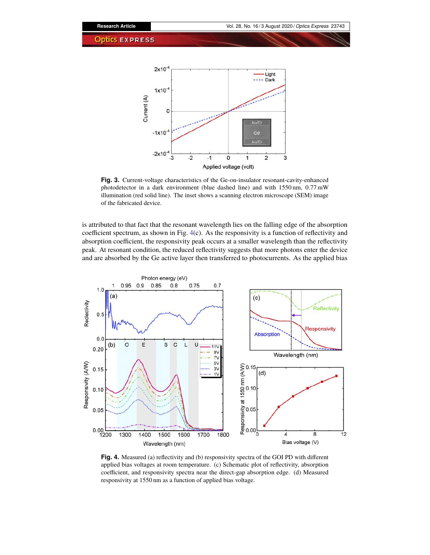

**Fig. 3.** Current-voltage characteristics of the Ge-on-insulator resonant-cavity-enhanced photodetector in a dark environment (blue dashed line) and with 1550 nm, 0.77 mW illumination (red solid line). The inset shows a scanning electron microscope (SEM) image of the fabricated device.

is attributed to that fact that the resonant wavelength lies on the falling edge of the absorption coefficient spectrum, as shown in Fig. 4(c). As the responsivity is a function of reflectivity and absorption coefficient, the responsivity peak occurs at a smaller wavelength than the reflectivity peak. At resonant condition, the reduced reflectivity suggests that more photons enter the device and are absorbed by the Ge active layer then transferred to photocurrents. As the applied bias



**Fig. 4.** Measured (a) reflectivity and (b) responsivity spectra of the GOI PD with different applied bias voltages at room temperature. (c) Schematic plot of reflectivity, absorption coefficient, and responsivity spectra near the direct-gap absorption edge. (d) Measured responsivity at 1550 nm as a function of applied bias voltage.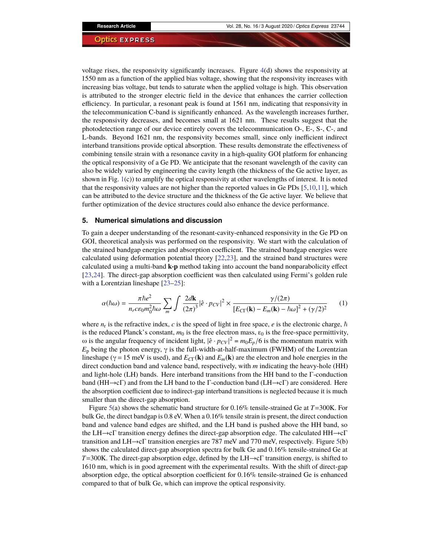voltage rises, the responsivity significantly increases. Figure  $4(d)$  shows the responsivity at 1550 nm as a function of the applied bias voltage, showing that the responsivity increases with increasing bias voltage, but tends to saturate when the applied voltage is high. This observation is attributed to the stronger electric field in the device that enhances the carrier collection efficiency. In particular, a resonant peak is found at 1561 nm, indicating that responsivity in the telecommunication C-band is significantly enhanced. As the wavelength increases further, the responsivity decreases, and becomes small at 1621 nm. These results suggest that the photodetection range of our device entirely covers the telecommunication O-, E-, S-, C-, and L-bands. Beyond 1621 nm, the responsivity becomes small, since only inefficient indirect interband transitions provide optical absorption. These results demonstrate the effectiveness of combining tensile strain with a resonance cavity in a high-quality GOI platform for enhancing the optical responsivity of a Ge PD. We anticipate that the resonant wavelength of the cavity can also be widely varied by engineering the cavity length (the thickness of the Ge active layer, as shown in Fig. 1(c)) to amplify the optical responsivity at other wavelengths of interest. It is noted that the responsivity values are not higher than the reported values in Ge PDs [5,10,11], which can be attributed to the device structure and the thickness of the Ge active layer. We believe that further optimization of the device structures could also enhance the device performance.

## **5. Numerical simulations and discussion**

To gain a deeper understanding of the resonant-cavity-enhanced responsivity in the Ge PD on GOI, theoretical analysis was performed on the responsivity. We start with the calculation of the strained bandgap energies and absorption coefficient. The strained bandgap energies were calculated using deformation potential theory [22,23], and the strained band structures were calculated using a multi-band **k**·**p** method taking into account the band nonparabolicity effect [23,24]. The direct-gap absorption coefficient was then calculated using Fermi's golden rule with a Lorentzian lineshape [23–25]:

$$
\alpha(\hbar\omega) = \frac{\pi\hbar e^2}{n_r c \epsilon_0 m_0^2 \hbar \omega} \sum_m \int \frac{2d\mathbf{k}}{(2\pi)^3} |\hat{e} \cdot p_{CV}|^2 \times \frac{\gamma/(2\pi)}{[E_{CT}(\mathbf{k}) - E_m(\mathbf{k}) - \hbar \omega]^2 + (\gamma/2)^2} \tag{1}
$$

where  $n_r$  is the refractive index,  $c$  is the speed of light in free space,  $e$  is the electronic charge,  $\hbar$ is the reduced Planck's constant,  $m_0$  is the free electron mass,  $\varepsilon_0$  is the free-space permittivity, ω is the angular frequency of incident light,  $|\hat{\mathbf{e}} \cdot p_{CV}|^2 = m_0 E_p/6$  is the momentum matrix with *E*<sub>p</sub> being the photon energy,  $\gamma$  is the full-width-at-half-maximum (FWHM) of the Lorentzian lineshape ( $\gamma = 15$  meV is used), and  $E_{\text{CT}}(\mathbf{k})$  and  $E_m(\mathbf{k})$  are the electron and hole energies in the direct conduction band and valence band, respectively, with *m* indicating the heavy-hole (HH) and light-hole (LH) bands. Here interband transitions from the HH band to the Γ-conduction band (HH→cΓ) and from the LH band to the Γ-conduction band (LH→cΓ) are considered. Here the absorption coefficient due to indirect-gap interband transitions is neglected because it is much smaller than the direct-gap absorption.

Figure 5(a) shows the schematic band structure for 0.16% tensile-strained Ge at *T*=300K. For bulk Ge, the direct bandgap is 0.8 eV. When a 0.16% tensile strain is present, the direct conduction band and valence band edges are shifted, and the LH band is pushed above the HH band, so the LH→cΓ transition energy defines the direct-gap absorption edge. The calculated HH→cΓ transition and LH→cΓ transition energies are 787 meV and 770 meV, respectively. Figure 5(b) shows the calculated direct-gap absorption spectra for bulk Ge and 0.16% tensile-strained Ge at *T*=300K. The direct-gap absorption edge, defined by the LH→cΓ transition energy, is shifted to 1610 nm, which is in good agreement with the experimental results. With the shift of direct-gap absorption edge, the optical absorption coefficient for 0.16% tensile-strained Ge is enhanced compared to that of bulk Ge, which can improve the optical responsivity.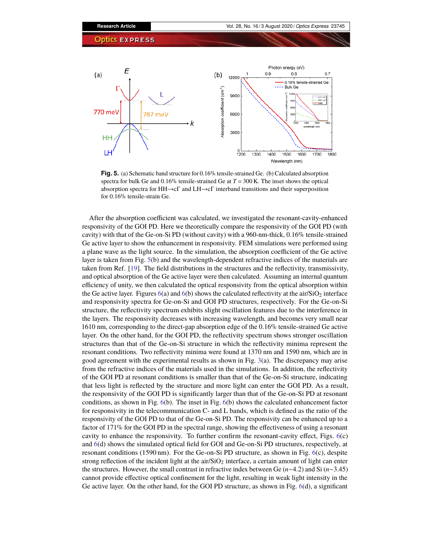

**Fig. 5.** (a) Schematic band structure for 0.16% tensile-strained Ge. (b) Calculated absorption spectra for bulk Ge and  $0.16\%$  tensile-strained Ge at  $T = 300$  K. The inset shows the optical absorption spectra for HH→cΓ and LH→cΓ interband transitions and their superposition for 0.16% tensile-strain Ge.

After the absorption coefficient was calculated, we investigated the resonant-cavity-enhanced responsivity of the GOI PD. Here we theoretically compare the responsivity of the GOI PD (with cavity) with that of the Ge-on-Si PD (without cavity) with a 960-nm-thick, 0.16% tensile-strained Ge active layer to show the enhancement in responsivity. FEM simulations were performed using a plane wave as the light source. In the simulation, the absorption coefficient of the Ge active layer is taken from Fig. 5(b) and the wavelength-dependent refractive indices of the materials are taken from Ref. [19]. The field distributions in the structures and the reflectivity, transmissivity, and optical absorption of the Ge active layer were then calculated. Assuming an internal quantum efficiency of unity, we then calculated the optical responsivity from the optical absorption within the Ge active layer. Figures  $6(a)$  and  $6(b)$  shows the calculated reflectivity at the air/SiO<sub>2</sub> interface and responsivity spectra for Ge-on-Si and GOI PD structures, respectively. For the Ge-on-Si structure, the reflectivity spectrum exhibits slight oscillation features due to the interference in the layers. The responsivity decreases with increasing wavelength, and becomes very small near 1610 nm, corresponding to the direct-gap absorption edge of the 0.16% tensile-strained Ge active layer. On the other hand, for the GOI PD, the reflectivity spectrum shows stronger oscillation structures than that of the Ge-on-Si structure in which the reflectivity minima represent the resonant conditions. Two reflectivity minima were found at 1370 nm and 1590 nm, which are in good agreement with the experimental results as shown in Fig. 3(a). The discrepancy may arise from the refractive indices of the materials used in the simulations. In addition, the reflectivity of the GOI PD at resonant conditions is smaller than that of the Ge-on-Si structure, indicating that less light is reflected by the structure and more light can enter the GOI PD. As a result, the responsivity of the GOI PD is significantly larger than that of the Ge-on-Si PD at resonant conditions, as shown in Fig. 6(b). The inset in Fig. 6(b) shows the calculated enhancement factor for responsivity in the telecommunication C- and L bands, which is defined as the ratio of the responsivity of the GOI PD to that of the Ge-on-Si PD. The responsivity can be enhanced up to a factor of 171% for the GOI PD in the spectral range, showing the effectiveness of using a resonant cavity to enhance the responsivity. To further confirm the resonant-cavity effect, Figs. 6(c) and 6(d) shows the simulated optical field for GOI and Ge-on-Si PD structures, respectively, at resonant conditions (1590 nm). For the Ge-on-Si PD structure, as shown in Fig. 6(c), despite strong reflection of the incident light at the air/ $SiO<sub>2</sub>$  interface, a certain amount of light can enter the structures. However, the small contrast in refractive index between Ge (*n*∼4.2) and Si (*n*∼3.45) cannot provide effective optical confinement for the light, resulting in weak light intensity in the Ge active layer. On the other hand, for the GOI PD structure, as shown in Fig. 6(d), a significant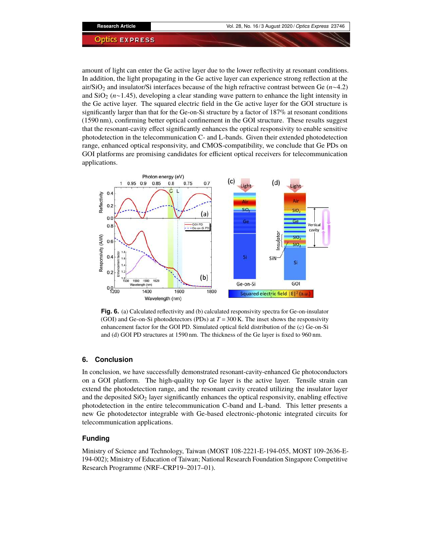amount of light can enter the Ge active layer due to the lower reflectivity at resonant conditions. In addition, the light propagating in the Ge active layer can experience strong reflection at the air/SiO<sup>2</sup> and insulator/Si interfaces because of the high refractive contrast between Ge (*n*∼4.2) and SiO<sup>2</sup> (*n*∼1.45), developing a clear standing wave pattern to enhance the light intensity in the Ge active layer. The squared electric field in the Ge active layer for the GOI structure is significantly larger than that for the Ge-on-Si structure by a factor of 187% at resonant conditions (1590 nm), confirming better optical confinement in the GOI structure. These results suggest that the resonant-cavity effect significantly enhances the optical responsivity to enable sensitive photodetection in the telecommunication C- and L-bands. Given their extended photodetection range, enhanced optical responsivity, and CMOS-compatibility, we conclude that Ge PDs on GOI platforms are promising candidates for efficient optical receivers for telecommunication applications.



**Fig. 6.** (a) Calculated reflectivity and (b) calculated responsivity spectra for Ge-on-insulator (GOI) and Ge-on-Si photodetectors (PDs) at  $T = 300$  K. The inset shows the responsivity enhancement factor for the GOI PD. Simulated optical field distribution of the (c) Ge-on-Si and (d) GOI PD structures at 1590 nm. The thickness of the Ge layer is fixed to 960 nm.

# **6. Conclusion**

In conclusion, we have successfully demonstrated resonant-cavity-enhanced Ge photoconductors on a GOI platform. The high-quality top Ge layer is the active layer. Tensile strain can extend the photodetection range, and the resonant cavity created utilizing the insulator layer and the deposited  $SiO<sub>2</sub>$  layer significantly enhances the optical responsivity, enabling effective photodetection in the entire telecommunication C-band and L-band. This letter presents a new Ge photodetector integrable with Ge-based electronic-photonic integrated circuits for telecommunication applications.

# **Funding**

Ministry of Science and Technology, Taiwan (MOST 108-2221-E-194-055, MOST 109-2636-E-194-002); Ministry of Education of Taiwan; National Research Foundation Singapore Competitive Research Programme (NRF–CRP19–2017–01).